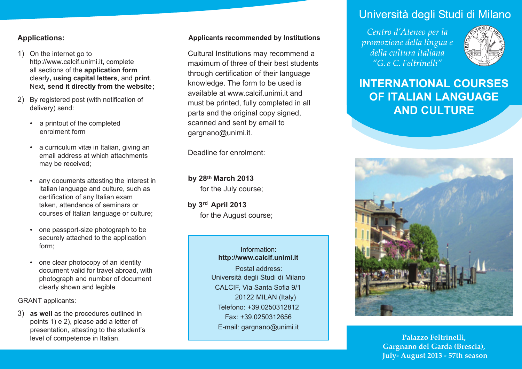### **Applications:**

- 1) On the internet go to http://www.calcif.unimi.it, complete all sections of the **application form**  clearly**, using capital letters**, and **print**. Next**, send it directly from the website**;
- 2) By registered post (with notification of delivery) send:
	- a printout of the completed enrolment form
	- a curriculum vitæ in Italian, giving an email address at which attachments may be received;
	- any documents attesting the interest in Italian language and culture, such as certification of any Italian exam taken, attendance of seminars or courses of Italian language or culture;
	- one passport-size photograph to be securely attached to the application form;
	- one clear photocopy of an identity • one clear photocopy of an identity **and the control of the control of the control of the control of travel abroad**, with **the control of the control of the control of the control of the control of the control of the cont** photograph and number of document clearly shown and legible

GRANT applicants:

3) **as well** as the procedures outlined in points 1) e 2), please add a letter of presentation, attesting to the student's level of competence in Italian.

### **Applicants recommended by Institutions**

Cultural Institutions may recommend a maximum of three of their best students through certification of their language knowledge. The form to be used is available at www.calcif.unimi.it and must be printed, fully completed in all parts and the original copy signed, scanned and sent by email to gargnano@unimi.it.

Deadline for enrolment:

**by 28 March 2013 th** for the July course;

by 3<sup>rd</sup> April 2013 for the August course;

> Information: **http://www.calcif.unimi.it** Università degli Studi di Milano CALCIF, Via Santa Sofia 9/1 20122 MILAN (Italy) Telefono: +39.0250312812 Fax: +39.0250312656 E-mail: gargnano@unimi.it

# Università degli Studi di Milano

Centro d'Ateneo per la promozione della lingua e della cultura italiana "G. e.C. Feltrinelli"



# **INTERNATIONAL COURSES OF ITALIAN LANGUAGE AND CULTURE**



**Palazzo Feltrinelli, Gargnano del Garda (Brescia), July- August 2013 - 57th season**